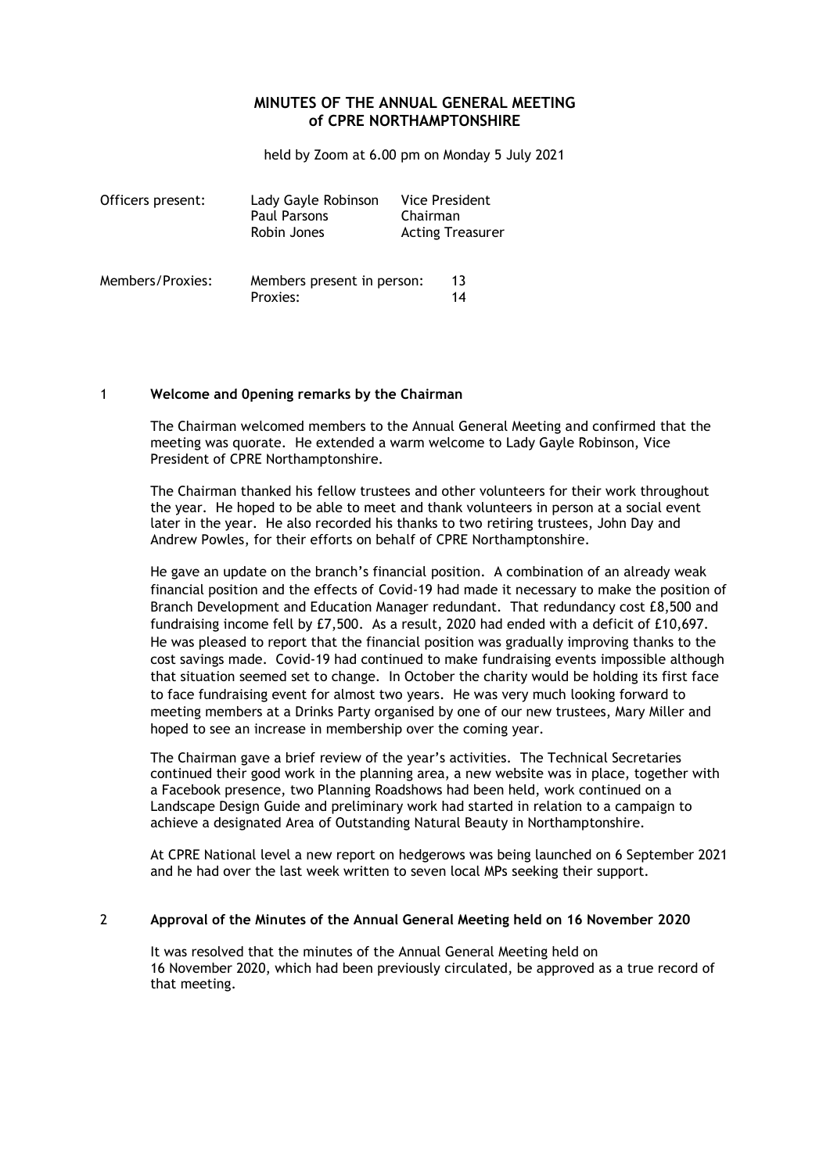# **MINUTES OF THE ANNUAL GENERAL MEETING of CPRE NORTHAMPTONSHIRE**

held by Zoom at 6.00 pm on Monday 5 July 2021

| Officers present: | Lady Gayle Robinson<br>Paul Parsons<br>Robin Jones | Vice President<br>Chairman | <b>Acting Treasurer</b> |
|-------------------|----------------------------------------------------|----------------------------|-------------------------|
| Members/Proxies:  | Members present in person:<br>Proxies:             |                            | 13<br>14                |

#### 1 **Welcome and 0pening remarks by the Chairman**

The Chairman welcomed members to the Annual General Meeting and confirmed that the meeting was quorate. He extended a warm welcome to Lady Gayle Robinson, Vice President of CPRE Northamptonshire.

The Chairman thanked his fellow trustees and other volunteers for their work throughout the year. He hoped to be able to meet and thank volunteers in person at a social event later in the year. He also recorded his thanks to two retiring trustees, John Day and Andrew Powles, for their efforts on behalf of CPRE Northamptonshire.

He gave an update on the branch's financial position. A combination of an already weak financial position and the effects of Covid-19 had made it necessary to make the position of Branch Development and Education Manager redundant. That redundancy cost £8,500 and fundraising income fell by £7,500. As a result, 2020 had ended with a deficit of £10,697. He was pleased to report that the financial position was gradually improving thanks to the cost savings made. Covid-19 had continued to make fundraising events impossible although that situation seemed set to change. In October the charity would be holding its first face to face fundraising event for almost two years. He was very much looking forward to meeting members at a Drinks Party organised by one of our new trustees, Mary Miller and hoped to see an increase in membership over the coming year.

The Chairman gave a brief review of the year's activities. The Technical Secretaries continued their good work in the planning area, a new website was in place, together with a Facebook presence, two Planning Roadshows had been held, work continued on a Landscape Design Guide and preliminary work had started in relation to a campaign to achieve a designated Area of Outstanding Natural Beauty in Northamptonshire.

At CPRE National level a new report on hedgerows was being launched on 6 September 2021 and he had over the last week written to seven local MPs seeking their support.

#### 2 **Approval of the Minutes of the Annual General Meeting held on 16 November 2020**

It was resolved that the minutes of the Annual General Meeting held on 16 November 2020, which had been previously circulated, be approved as a true record of that meeting.